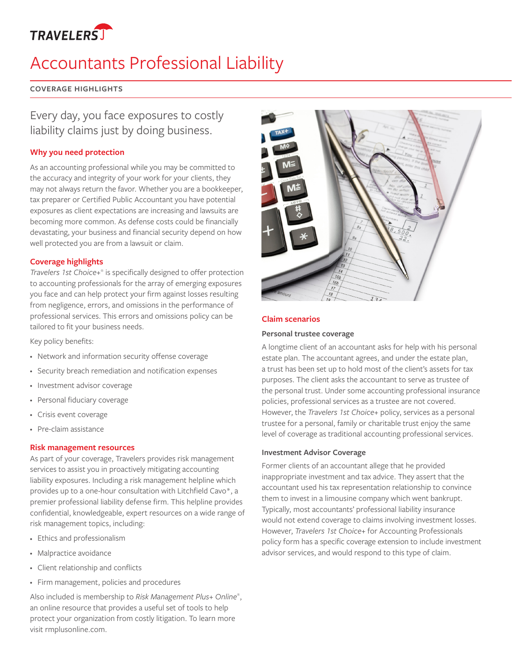

# Accountants Professional Liability

### **COVERAGE HIGHLIGHTS**

## Every day, you face exposures to costly liability claims just by doing business.

### **Why you need protection**

As an accounting professional while you may be committed to the accuracy and integrity of your work for your clients, they may not always return the favor. Whether you are a bookkeeper, tax preparer or Certified Public Accountant you have potential exposures as client expectations are increasing and lawsuits are becoming more common. As defense costs could be financially devastating, your business and financial security depend on how well protected you are from a lawsuit or claim.

#### **Coverage highlights**

*Travelers 1st Choice+*® is specifically designed to offer protection to accounting professionals for the array of emerging exposures you face and can help protect your firm against losses resulting from negligence, errors, and omissions in the performance of professional services. This errors and omissions policy can be tailored to fit your business needs.

Key policy benefits:

- Network and information security offense coverage
- • Security breach remediation and notification expenses
- • Investment advisor coverage
- • Personal fiduciary coverage
- • Crisis event coverage
- Pre-claim assistance

#### **Risk management resources**

As part of your coverage, Travelers provides risk management services to assist you in proactively mitigating accounting liability exposures. Including a risk management helpline which provides up to a one-hour consultation with Litchfield Cavo\*, a premier professional liability defense firm. This helpline provides confidential, knowledgeable, expert resources on a wide range of risk management topics, including:

- • Ethics and professionalism
- • Malpractice avoidance
- • Client relationship and conflicts
- • Firm management, policies and procedures

Also included is membership to *Risk Management Plus+ Online*® , an online resource that provides a useful set of tools to help protect your organization from costly litigation. To learn more visit rmplusonline.com.



### **Claim scenarios**

#### **Personal trustee coverage**

A longtime client of an accountant asks for help with his personal estate plan. The accountant agrees, and under the estate plan, a trust has been set up to hold most of the client's assets for tax purposes. The client asks the accountant to serve as trustee of the personal trust. Under some accounting professional insurance policies, professional services as a trustee are not covered. However, the *Travelers 1st Choice+* policy, services as a personal trustee for a personal, family or charitable trust enjoy the same level of coverage as traditional accounting professional services.

#### **Investment Advisor Coverage**

Former clients of an accountant allege that he provided inappropriate investment and tax advice. They assert that the accountant used his tax representation relationship to convince them to invest in a limousine company which went bankrupt. Typically, most accountants' professional liability insurance would not extend coverage to claims involving investment losses. However, *Travelers 1st Choice+* for Accounting Professionals policy form has a specific coverage extension to include investment advisor services, and would respond to this type of claim.